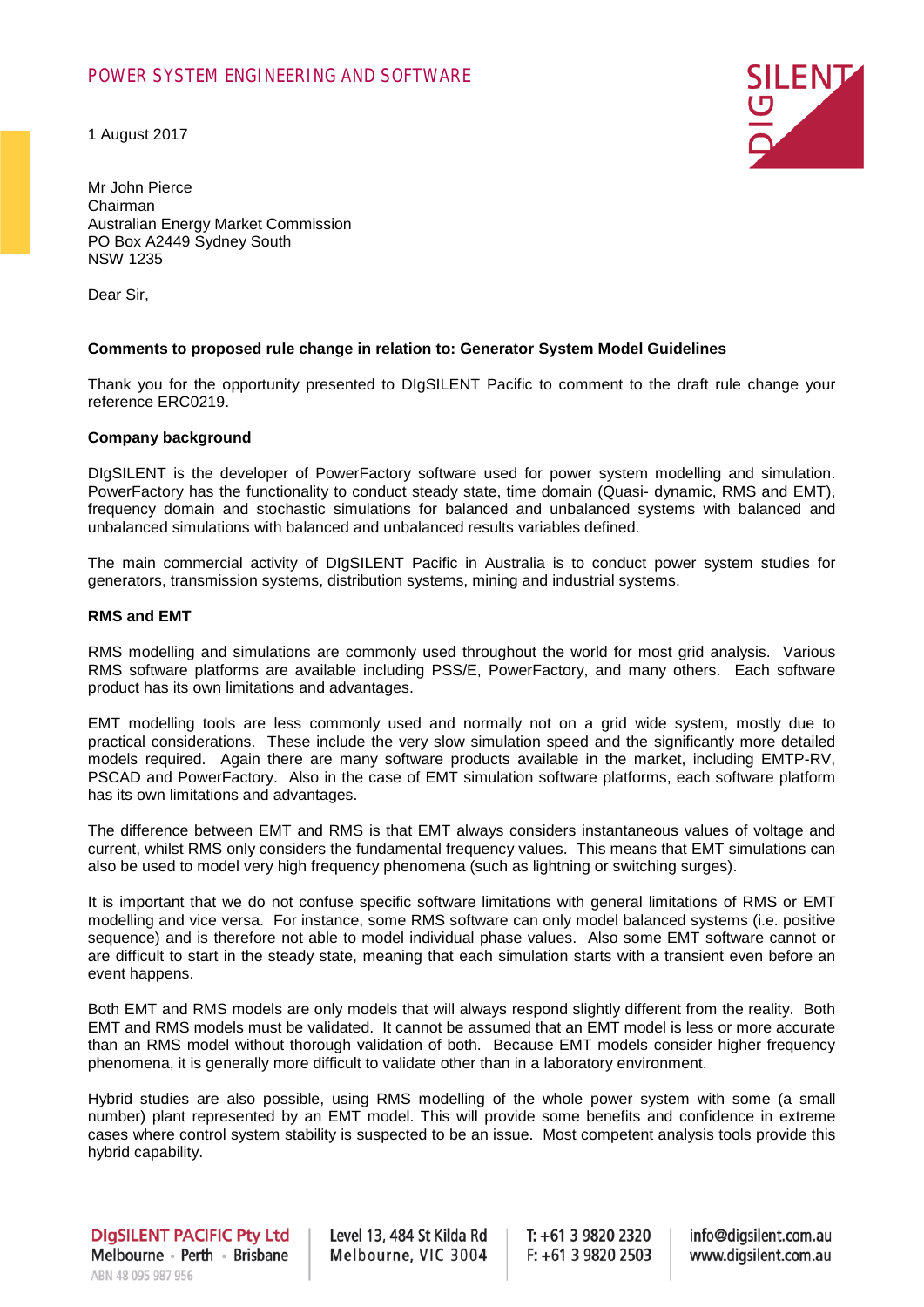# POWER SYSTEM ENGINEERING AND SOFTWARE

1 August 2017



Mr John Pierce Chairman Australian Energy Market Commission PO Box A2449 Sydney South NSW 1235

Dear Sir,

### **Comments to proposed rule change in relation to: Generator System Model Guidelines**

Thank you for the opportunity presented to DIgSILENT Pacific to comment to the draft rule change your reference ERC0219.

#### **Company background**

DIgSILENT is the developer of PowerFactory software used for power system modelling and simulation. PowerFactory has the functionality to conduct steady state, time domain (Quasi- dynamic, RMS and EMT), frequency domain and stochastic simulations for balanced and unbalanced systems with balanced and unbalanced simulations with balanced and unbalanced results variables defined.

The main commercial activity of DIgSILENT Pacific in Australia is to conduct power system studies for generators, transmission systems, distribution systems, mining and industrial systems.

#### **RMS and EMT**

RMS modelling and simulations are commonly used throughout the world for most grid analysis. Various RMS software platforms are available including PSS/E, PowerFactory, and many others. Each software product has its own limitations and advantages.

EMT modelling tools are less commonly used and normally not on a grid wide system, mostly due to practical considerations. These include the very slow simulation speed and the significantly more detailed models required. Again there are many software products available in the market, including EMTP-RV, PSCAD and PowerFactory. Also in the case of EMT simulation software platforms, each software platform has its own limitations and advantages.

The difference between EMT and RMS is that EMT always considers instantaneous values of voltage and current, whilst RMS only considers the fundamental frequency values. This means that EMT simulations can also be used to model very high frequency phenomena (such as lightning or switching surges).

It is important that we do not confuse specific software limitations with general limitations of RMS or EMT modelling and vice versa. For instance, some RMS software can only model balanced systems (i.e. positive sequence) and is therefore not able to model individual phase values. Also some EMT software cannot or are difficult to start in the steady state, meaning that each simulation starts with a transient even before an event happens.

Both EMT and RMS models are only models that will always respond slightly different from the reality. Both EMT and RMS models must be validated. It cannot be assumed that an EMT model is less or more accurate than an RMS model without thorough validation of both. Because EMT models consider higher frequency phenomena, it is generally more difficult to validate other than in a laboratory environment.

Hybrid studies are also possible, using RMS modelling of the whole power system with some (a small number) plant represented by an EMT model. This will provide some benefits and confidence in extreme cases where control system stability is suspected to be an issue. Most competent analysis tools provide this hybrid capability.

Level 13, 484 St Kilda Rd Melbourne, VIC 3004

 $T: +61398202320$  $F: +61398202503$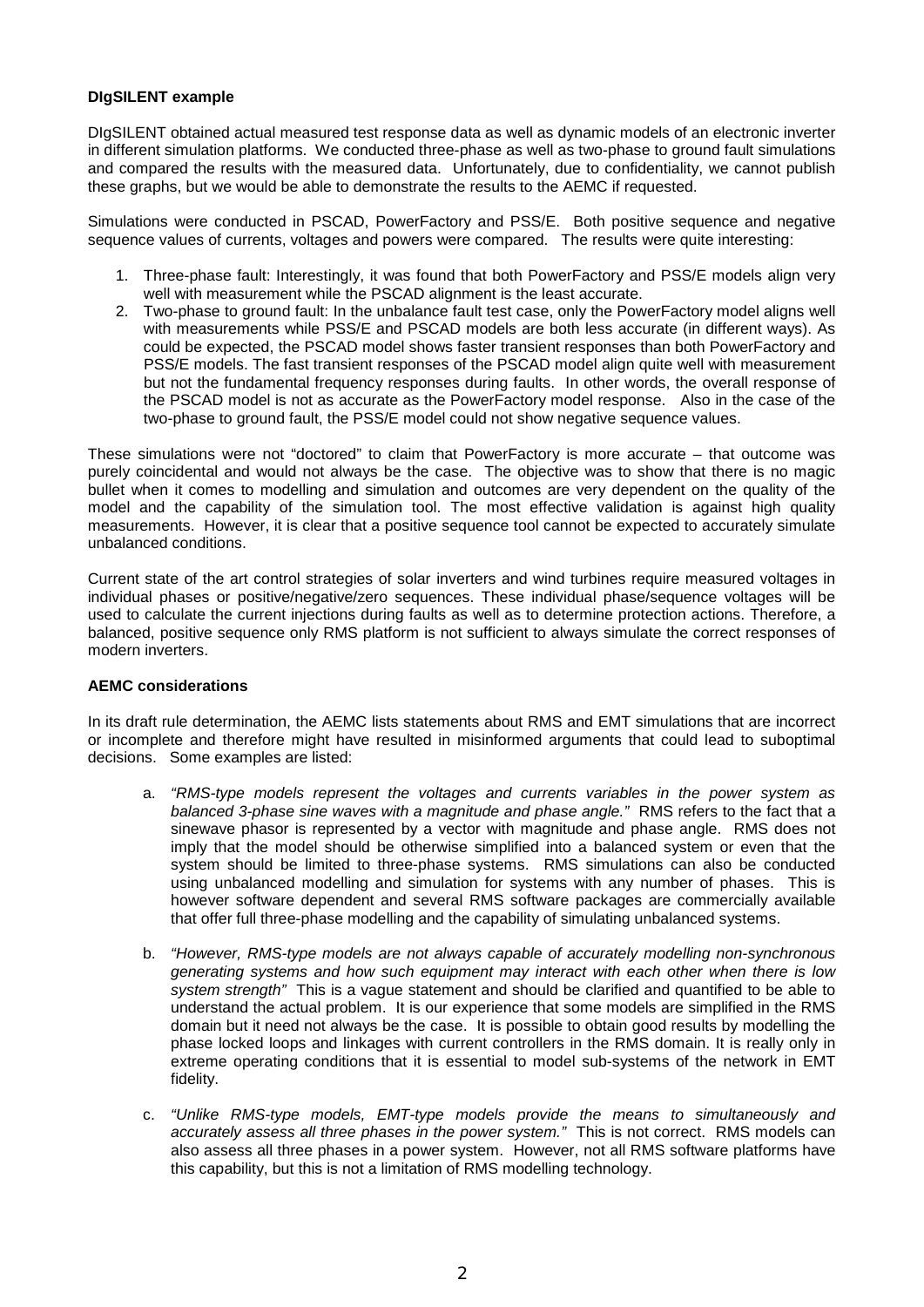# **DIgSILENT example**

DIgSILENT obtained actual measured test response data as well as dynamic models of an electronic inverter in different simulation platforms. We conducted three-phase as well as two-phase to ground fault simulations and compared the results with the measured data. Unfortunately, due to confidentiality, we cannot publish these graphs, but we would be able to demonstrate the results to the AEMC if requested.

Simulations were conducted in PSCAD, PowerFactory and PSS/E. Both positive sequence and negative sequence values of currents, voltages and powers were compared. The results were quite interesting:

- 1. Three-phase fault: Interestingly, it was found that both PowerFactory and PSS/E models align very well with measurement while the PSCAD alignment is the least accurate.
- 2. Two-phase to ground fault: In the unbalance fault test case, only the PowerFactory model aligns well with measurements while PSS/E and PSCAD models are both less accurate (in different ways). As could be expected, the PSCAD model shows faster transient responses than both PowerFactory and PSS/E models. The fast transient responses of the PSCAD model align quite well with measurement but not the fundamental frequency responses during faults. In other words, the overall response of the PSCAD model is not as accurate as the PowerFactory model response. Also in the case of the two-phase to ground fault, the PSS/E model could not show negative sequence values.

These simulations were not "doctored" to claim that PowerFactory is more accurate – that outcome was purely coincidental and would not always be the case. The objective was to show that there is no magic bullet when it comes to modelling and simulation and outcomes are very dependent on the quality of the model and the capability of the simulation tool. The most effective validation is against high quality measurements. However, it is clear that a positive sequence tool cannot be expected to accurately simulate unbalanced conditions.

Current state of the art control strategies of solar inverters and wind turbines require measured voltages in individual phases or positive/negative/zero sequences. These individual phase/sequence voltages will be used to calculate the current injections during faults as well as to determine protection actions. Therefore, a balanced, positive sequence only RMS platform is not sufficient to always simulate the correct responses of modern inverters.

### **AEMC considerations**

In its draft rule determination, the AEMC lists statements about RMS and EMT simulations that are incorrect or incomplete and therefore might have resulted in misinformed arguments that could lead to suboptimal decisions. Some examples are listed:

- a. *"RMS-type models represent the voltages and currents variables in the power system as balanced 3-phase sine waves with a magnitude and phase angle."* RMS refers to the fact that a sinewave phasor is represented by a vector with magnitude and phase angle. RMS does not imply that the model should be otherwise simplified into a balanced system or even that the system should be limited to three-phase systems. RMS simulations can also be conducted using unbalanced modelling and simulation for systems with any number of phases. This is however software dependent and several RMS software packages are commercially available that offer full three-phase modelling and the capability of simulating unbalanced systems.
- b. *"However, RMS-type models are not always capable of accurately modelling non-synchronous generating systems and how such equipment may interact with each other when there is low system strength"* This is a vague statement and should be clarified and quantified to be able to understand the actual problem. It is our experience that some models are simplified in the RMS domain but it need not always be the case. It is possible to obtain good results by modelling the phase locked loops and linkages with current controllers in the RMS domain. It is really only in extreme operating conditions that it is essential to model sub-systems of the network in EMT fidelity.
- c. *"Unlike RMS-type models, EMT-type models provide the means to simultaneously and accurately assess all three phases in the power system."* This is not correct. RMS models can also assess all three phases in a power system. However, not all RMS software platforms have this capability, but this is not a limitation of RMS modelling technology.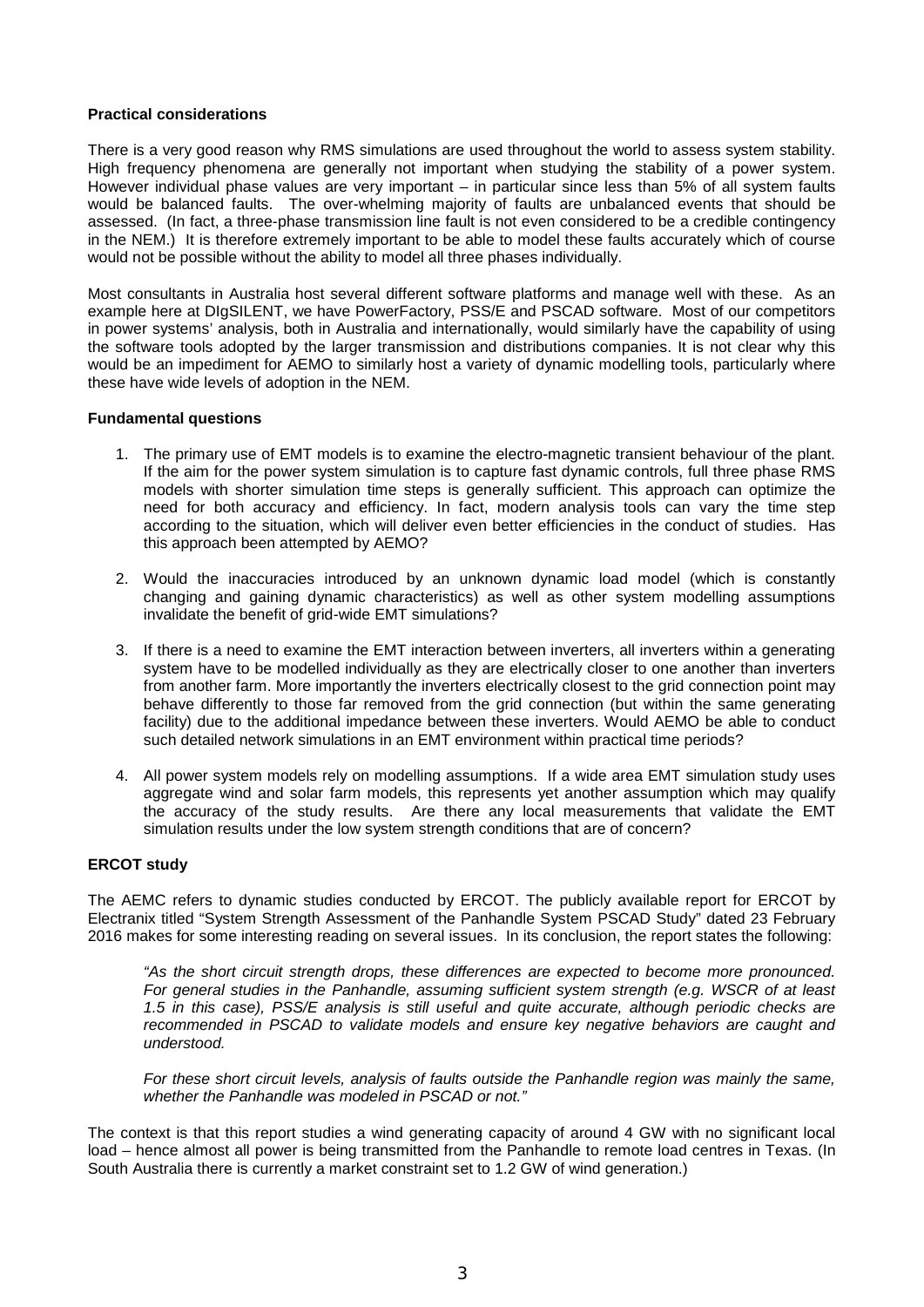### **Practical considerations**

There is a very good reason why RMS simulations are used throughout the world to assess system stability. High frequency phenomena are generally not important when studying the stability of a power system. However individual phase values are very important – in particular since less than 5% of all system faults would be balanced faults. The over-whelming majority of faults are unbalanced events that should be assessed. (In fact, a three-phase transmission line fault is not even considered to be a credible contingency in the NEM.) It is therefore extremely important to be able to model these faults accurately which of course would not be possible without the ability to model all three phases individually.

Most consultants in Australia host several different software platforms and manage well with these. As an example here at DIgSILENT, we have PowerFactory, PSS/E and PSCAD software. Most of our competitors in power systems' analysis, both in Australia and internationally, would similarly have the capability of using the software tools adopted by the larger transmission and distributions companies. It is not clear why this would be an impediment for AEMO to similarly host a variety of dynamic modelling tools, particularly where these have wide levels of adoption in the NEM.

### **Fundamental questions**

- 1. The primary use of EMT models is to examine the electro-magnetic transient behaviour of the plant. If the aim for the power system simulation is to capture fast dynamic controls, full three phase RMS models with shorter simulation time steps is generally sufficient. This approach can optimize the need for both accuracy and efficiency. In fact, modern analysis tools can vary the time step according to the situation, which will deliver even better efficiencies in the conduct of studies. Has this approach been attempted by AEMO?
- 2. Would the inaccuracies introduced by an unknown dynamic load model (which is constantly changing and gaining dynamic characteristics) as well as other system modelling assumptions invalidate the benefit of grid-wide EMT simulations?
- 3. If there is a need to examine the EMT interaction between inverters, all inverters within a generating system have to be modelled individually as they are electrically closer to one another than inverters from another farm. More importantly the inverters electrically closest to the grid connection point may behave differently to those far removed from the grid connection (but within the same generating facility) due to the additional impedance between these inverters. Would AEMO be able to conduct such detailed network simulations in an EMT environment within practical time periods?
- 4. All power system models rely on modelling assumptions. If a wide area EMT simulation study uses aggregate wind and solar farm models, this represents yet another assumption which may qualify the accuracy of the study results. Are there any local measurements that validate the EMT simulation results under the low system strength conditions that are of concern?

# **ERCOT study**

The AEMC refers to dynamic studies conducted by ERCOT. The publicly available report for ERCOT by Electranix titled "System Strength Assessment of the Panhandle System PSCAD Study" dated 23 February 2016 makes for some interesting reading on several issues. In its conclusion, the report states the following:

*"As the short circuit strength drops, these differences are expected to become more pronounced. For general studies in the Panhandle, assuming sufficient system strength (e.g. WSCR of at least 1.5 in this case), PSS/E analysis is still useful and quite accurate, although periodic checks are recommended in PSCAD to validate models and ensure key negative behaviors are caught and understood.* 

*For these short circuit levels, analysis of faults outside the Panhandle region was mainly the same, whether the Panhandle was modeled in PSCAD or not."*

The context is that this report studies a wind generating capacity of around 4 GW with no significant local load – hence almost all power is being transmitted from the Panhandle to remote load centres in Texas. (In South Australia there is currently a market constraint set to 1.2 GW of wind generation.)